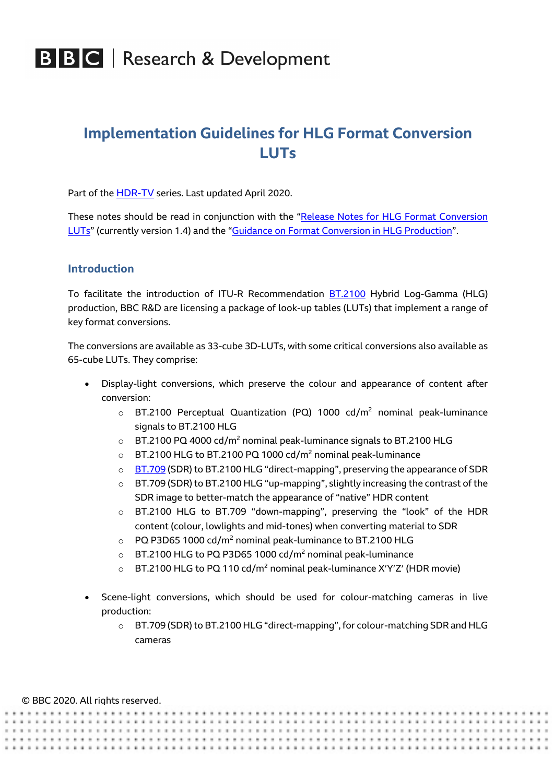## **Implementation Guidelines for HLG Format Conversion LUTs**

Part of the HDR-TV series. Last updated April 2020.

These notes should be read in conjunction with the "Release Notes for HLG Format Conversion LUTs" (currently version 1.4) and the "Guidance on Format Conversion in HLG Production".

### **Introduction**

To facilitate the introduction of ITU-R Recommendation BT.2100 Hybrid Log-Gamma (HLG) production, BBC R&D are licensing a package of look-up tables (LUTs) that implement a range of key format conversions.

The conversions are available as 33-cube 3D-LUTs, with some critical conversions also available as 65-cube LUTs. They comprise:

- Display-light conversions, which preserve the colour and appearance of content after conversion:
	- $\circ$  BT.2100 Perceptual Quantization (PQ) 1000 cd/m<sup>2</sup> nominal peak-luminance signals to BT.2100 HLG
	- $\circ$  BT.2100 PQ 4000 cd/m<sup>2</sup> nominal peak-luminance signals to BT.2100 HLG
	- $\circ$  BT.2100 HLG to BT.2100 PQ 1000 cd/m<sup>2</sup> nominal peak-luminance
	- $\circ$  BT.709 (SDR) to BT.2100 HLG "direct-mapping", preserving the appearance of SDR
	- o BT.709 (SDR) to BT.2100 HLG "up-mapping", slightly increasing the contrast of the SDR image to better-match the appearance of "native" HDR content
	- o BT.2100 HLG to BT.709 "down-mapping", preserving the "look" of the HDR content (colour, lowlights and mid-tones) when converting material to SDR
	- $\circ$  PQ P3D65 1000 cd/m<sup>2</sup> nominal peak-luminance to BT.2100 HLG
	- $\circ$  BT.2100 HLG to PQ P3D65 1000 cd/m<sup>2</sup> nominal peak-luminance
	- o BT.2100 HLG to PQ 110 cd/m<sup>2</sup> nominal peak-luminance X'Y'Z' (HDR movie)
- Scene-light conversions, which should be used for colour-matching cameras in live production:
	- o BT.709 (SDR) to BT.2100 HLG "direct-mapping", for colour-matching SDR and HLG cameras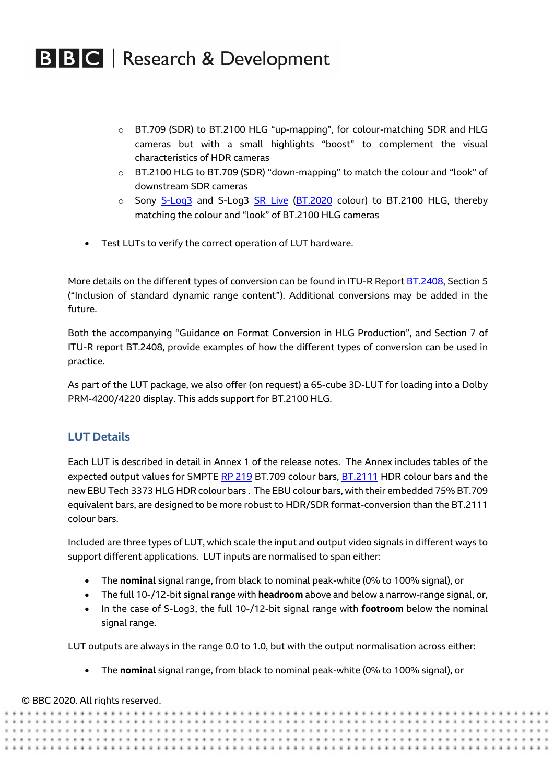- o BT.709 (SDR) to BT.2100 HLG "up-mapping", for colour-matching SDR and HLG cameras but with a small highlights "boost" to complement the visual characteristics of HDR cameras
- o BT.2100 HLG to BT.709 (SDR) "down-mapping" to match the colour and "look" of downstream SDR cameras
- o Sony S-Log3 and S-Log3 SR Live (BT.2020 colour) to BT.2100 HLG, thereby matching the colour and "look" of BT.2100 HLG cameras
- Test LUTs to verify the correct operation of LUT hardware.

More details on the different types of conversion can be found in ITU-R Report BT.2408, Section 5 ("Inclusion of standard dynamic range content"). Additional conversions may be added in the future.

Both the accompanying "Guidance on Format Conversion in HLG Production", and Section 7 of ITU-R report BT.2408, provide examples of how the different types of conversion can be used in practice.

As part of the LUT package, we also offer (on request) a 65-cube 3D-LUT for loading into a Dolby PRM-4200/4220 display. This adds support for BT.2100 HLG.

### **LUT Details**

Each LUT is described in detail in Annex 1 of the release notes. The Annex includes tables of the expected output values for SMPTE RP 219 BT.709 colour bars, BT.2111 HDR colour bars and the new EBU Tech 3373 HLG HDR colour bars . The EBU colour bars, with their embedded 75% BT.709 equivalent bars, are designed to be more robust to HDR/SDR format-conversion than the BT.2111 colour bars.

Included are three types of LUT, which scale the input and output video signals in different ways to support different applications. LUT inputs are normalised to span either:

- The **nominal** signal range, from black to nominal peak-white (0% to 100% signal), or
- The full 10-/12-bit signal range with **headroom** above and below a narrow-range signal, or,
- In the case of S-Log3, the full 10-/12-bit signal range with **footroom** below the nominal signal range.

LUT outputs are always in the range 0.0 to 1.0, but with the output normalisation across either:

• The **nominal** signal range, from black to nominal peak-white (0% to 100% signal), or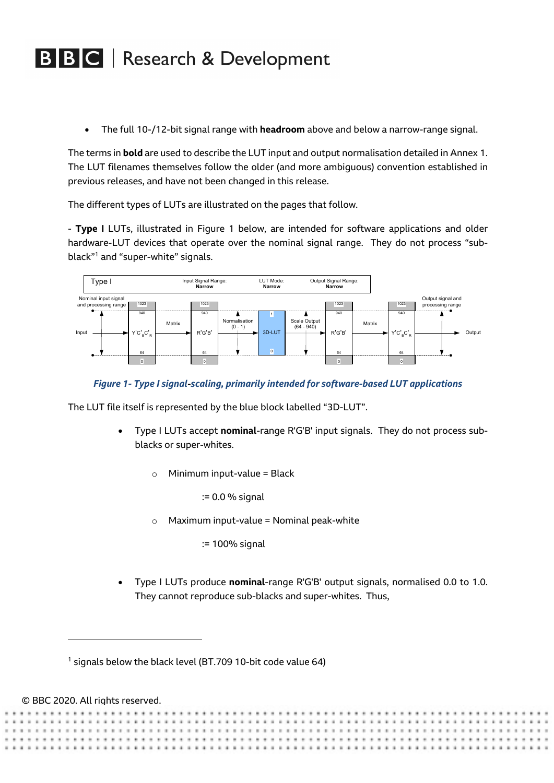• The full 10-/12-bit signal range with **headroom** above and below a narrow-range signal.

The terms in **bold** are used to describe the LUT input and output normalisation detailed in Annex 1. The LUT filenames themselves follow the older (and more ambiguous) convention established in previous releases, and have not been changed in this release.

The different types of LUTs are illustrated on the pages that follow.

- **Type I** LUTs, illustrated in Figure 1 below, are intended for software applications and older hardware-LUT devices that operate over the nominal signal range. They do not process "subblack"1 and "super-white" signals.



### *Figure 1- Type I signal***-***scaling, primarily intended for software-based LUT applications*

The LUT file itself is represented by the blue block labelled "3D-LUT".

- Type I LUTs accept **nominal**-range R'G'B' input signals. They do not process subblacks or super-whites.
	- $\circ$  Minimum input-value = Black

:= 0.0 % signal

 $\circ$  Maximum input-value = Nominal peak-white

:= 100% signal

• Type I LUTs produce **nominal**-range R'G'B' output signals, normalised 0.0 to 1.0. They cannot reproduce sub-blacks and super-whites. Thus,

 $1$  signals below the black level (BT.709 10-bit code value 64)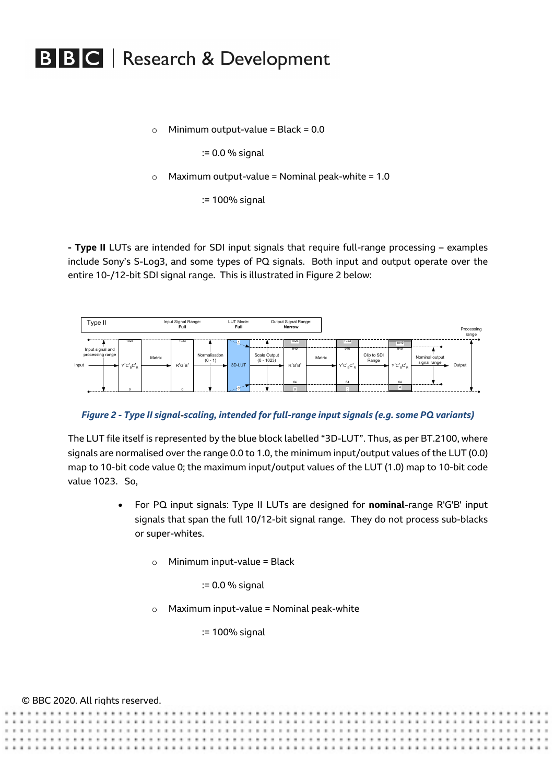$\circ$  Minimum output-value = Black = 0.0

:= 0.0 % signal

 $\circ$  Maximum output-value = Nominal peak-white = 1.0

:= 100% signal

**- Type II** LUTs are intended for SDI input signals that require full-range processing – examples include Sony's S-Log3, and some types of PQ signals. Both input and output operate over the entire 10-/12-bit SDI signal range. This is illustrated in Figure 2 below:



*Figure 2 - Type II signal***-***scaling, intended for full-range input signals (e.g. some PQ variants)*

The LUT file itself is represented by the blue block labelled "3D-LUT". Thus, as per BT.2100, where signals are normalised over the range 0.0 to 1.0, the minimum input/output values of the LUT (0.0) map to 10-bit code value 0; the maximum input/output values of the LUT (1.0) map to 10-bit code value 1023. So,

- For PQ input signals: Type II LUTs are designed for **nominal**-range R'G'B' input signals that span the full 10/12-bit signal range. They do not process sub-blacks or super-whites.
	- $\circ$  Minimum input-value = Black

:= 0.0 % signal

 $\circ$  Maximum input-value = Nominal peak-white

:= 100% signal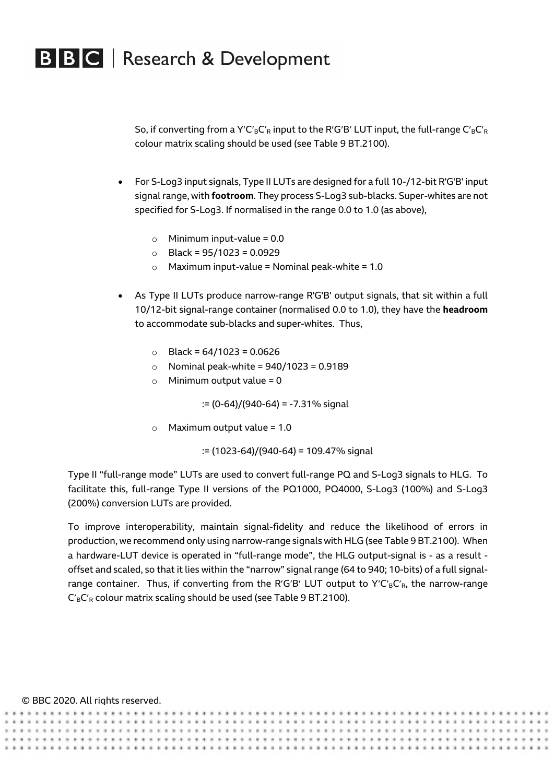So, if converting from a Y'C'<sub>B</sub>C'<sub>R</sub> input to the R'G'B' LUT input, the full-range C'<sub>B</sub>C'<sub>R</sub> colour matrix scaling should be used (see Table 9 BT.2100).

- For S-Log3 input signals, Type II LUTs are designed for a full 10-/12-bit R'G'B' input signal range, with **footroom**. They process S-Log3 sub-blacks. Super-whites are not specified for S-Log3. If normalised in the range 0.0 to 1.0 (as above),
	- o Minimum input-value = 0.0
	- $\circ$  Black = 95/1023 = 0.0929
	- $\circ$  Maximum input-value = Nominal peak-white = 1.0
- As Type II LUTs produce narrow-range R'G'B' output signals, that sit within a full 10/12-bit signal-range container (normalised 0.0 to 1.0), they have the **headroom** to accommodate sub-blacks and super-whites. Thus,
	- $\circ$  Black = 64/1023 = 0.0626
	- $\circ$  Nominal peak-white = 940/1023 = 0.9189
	- $\circ$  Minimum output value = 0

:= (0-64)/(940-64) = -7.31% signal

 $\circ$  Maximum output value = 1.0

:= (1023-64)/(940-64) = 109.47% signal

Type II "full-range mode" LUTs are used to convert full-range PQ and S-Log3 signals to HLG. To facilitate this, full-range Type II versions of the PQ1000, PQ4000, S-Log3 (100%) and S-Log3 (200%) conversion LUTs are provided.

To improve interoperability, maintain signal-fidelity and reduce the likelihood of errors in production, we recommend only using narrow-range signals with HLG (see Table 9 BT.2100). When a hardware-LUT device is operated in "full-range mode", the HLG output-signal is - as a result offset and scaled, so that it lies within the "narrow" signal range (64 to 940; 10-bits) of a full signalrange container. Thus, if converting from the R'G'B' LUT output to Y'C'<sub>B</sub>C'<sub>R</sub>, the narrow-range  $C_B C_R$  colour matrix scaling should be used (see Table 9 BT.2100).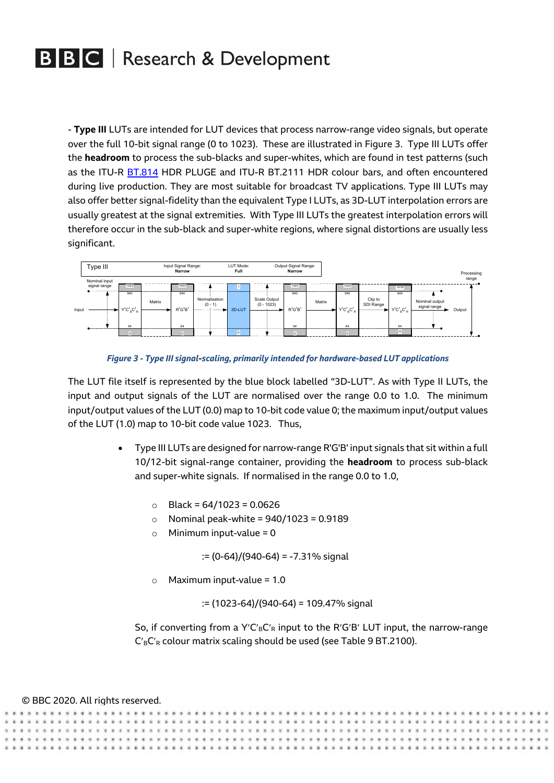- **Type III** LUTs are intended for LUT devices that process narrow-range video signals, but operate over the full 10-bit signal range (0 to 1023). These are illustrated in Figure 3. Type III LUTs offer the **headroom** to process the sub-blacks and super-whites, which are found in test patterns (such as the ITU-R BT.814 HDR PLUGE and ITU-R BT.2111 HDR colour bars, and often encountered during live production. They are most suitable for broadcast TV applications. Type III LUTs may also offer better signal-fidelity than the equivalent Type I LUTs, as 3D-LUT interpolation errors are usually greatest at the signal extremities. With Type III LUTs the greatest interpolation errors will therefore occur in the sub-black and super-white regions, where signal distortions are usually less significant.



*Figure 3 - Type III signal***-***scaling, primarily intended for hardware-based LUT applications*

The LUT file itself is represented by the blue block labelled "3D-LUT". As with Type II LUTs, the input and output signals of the LUT are normalised over the range 0.0 to 1.0. The minimum input/output values of the LUT (0.0) map to 10-bit code value 0; the maximum input/output values of the LUT (1.0) map to 10-bit code value 1023. Thus,

- Type III LUTs are designed for narrow-range R'G'B' input signals that sit within a full 10/12-bit signal-range container, providing the **headroom** to process sub-black and super-white signals. If normalised in the range 0.0 to 1.0,
	- $\circ$  Black = 64/1023 = 0.0626
	- $\circ$  Nominal peak-white = 940/1023 = 0.9189
	- $\circ$  Minimum input-value = 0

:= (0-64)/(940-64) = -7.31% signal

o Maximum input-value = 1.0

:= (1023-64)/(940-64) = 109.47% signal

So, if converting from a Y'C'<sub>B</sub>C'<sub>R</sub> input to the R'G'B' LUT input, the narrow-range  $C_B C_R$  colour matrix scaling should be used (see Table 9 BT.2100).

|  | © BBC 2020. All rights reserved. |  |
|--|----------------------------------|--|
|--|----------------------------------|--|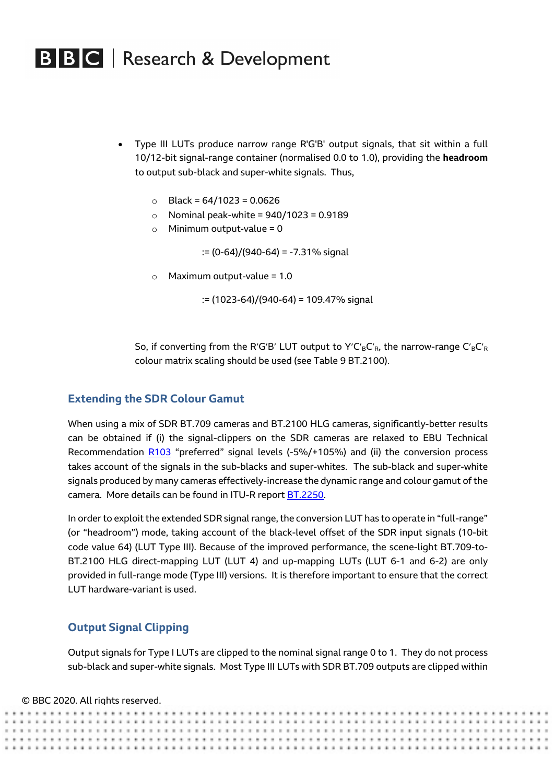- Type III LUTs produce narrow range R'G'B' output signals, that sit within a full 10/12-bit signal-range container (normalised 0.0 to 1.0), providing the **headroom** to output sub-black and super-white signals. Thus,
	- $\circ$  Black = 64/1023 = 0.0626
	- $\circ$  Nominal peak-white = 940/1023 = 0.9189
	- $\circ$  Minimum output-value = 0

:= (0-64)/(940-64) = -7.31% signal

 $\circ$  Maximum output-value = 1.0

:= (1023-64)/(940-64) = 109.47% signal

So, if converting from the R'G'B' LUT output to Y'C'<sub>B</sub>C'<sub>R</sub>, the narrow-range C'<sub>B</sub>C'<sub>R</sub> colour matrix scaling should be used (see Table 9 BT.2100).

### **Extending the SDR Colour Gamut**

When using a mix of SDR BT.709 cameras and BT.2100 HLG cameras, significantly-better results can be obtained if (i) the signal-clippers on the SDR cameras are relaxed to EBU Technical Recommendation R103 "preferred" signal levels (-5%/+105%) and (ii) the conversion process takes account of the signals in the sub-blacks and super-whites. The sub-black and super-white signals produced by many cameras effectively-increase the dynamic range and colour gamut of the camera. More details can be found in ITU-R report BT.2250.

In order to exploit the extended SDR signal range, the conversion LUT has to operate in "full-range" (or "headroom") mode, taking account of the black-level offset of the SDR input signals (10-bit code value 64) (LUT Type III). Because of the improved performance, the scene-light BT.709-to-BT.2100 HLG direct-mapping LUT (LUT 4) and up-mapping LUTs (LUT 6-1 and 6-2) are only provided in full-range mode (Type III) versions. It is therefore important to ensure that the correct LUT hardware-variant is used.

### **Output Signal Clipping**

Output signals for Type I LUTs are clipped to the nominal signal range 0 to 1. They do not process sub-black and super-white signals. Most Type III LUTs with SDR BT.709 outputs are clipped within

#### © BBC 2020. All rights reserved.

**.............**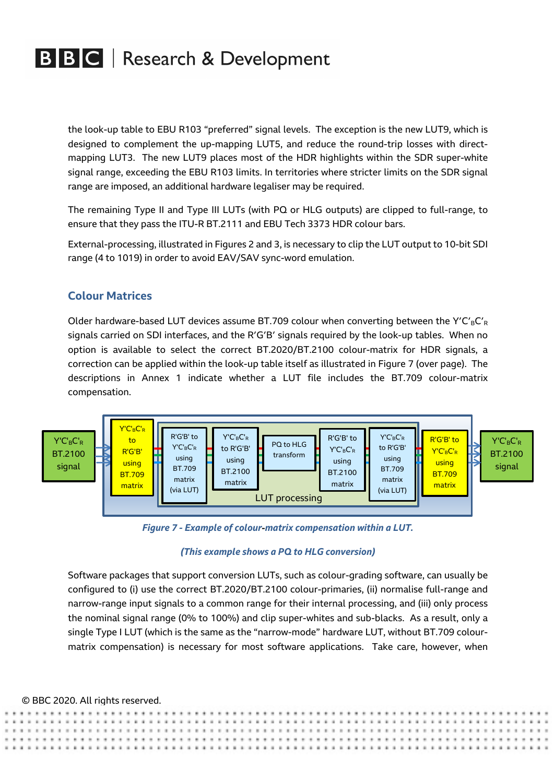the look-up table to EBU R103 "preferred" signal levels. The exception is the new LUT9, which is designed to complement the up-mapping LUT5, and reduce the round-trip losses with directmapping LUT3. The new LUT9 places most of the HDR highlights within the SDR super-white signal range, exceeding the EBU R103 limits. In territories where stricter limits on the SDR signal range are imposed, an additional hardware legaliser may be required.

The remaining Type II and Type III LUTs (with PQ or HLG outputs) are clipped to full-range, to ensure that they pass the ITU-R BT.2111 and EBU Tech 3373 HDR colour bars.

External-processing, illustrated in Figures 2 and 3, is necessary to clip the LUT output to 10-bit SDI range (4 to 1019) in order to avoid EAV/SAV sync-word emulation.

### **Colour Matrices**

Older hardware-based LUT devices assume BT.709 colour when converting between the Y'C'<sub>B</sub>C'<sub>R</sub> signals carried on SDI interfaces, and the R′G′B′ signals required by the look-up tables. When no option is available to select the correct BT.2020/BT.2100 colour-matrix for HDR signals, a correction can be applied within the look-up table itself as illustrated in Figure 7 (over page). The descriptions in Annex 1 indicate whether a LUT file includes the BT.709 colour-matrix compensation.



*Figure 7 - Example of colour***-***matrix compensation within a LUT.*

### *(This example shows a PQ to HLG conversion)*

Software packages that support conversion LUTs, such as colour-grading software, can usually be configured to (i) use the correct BT.2020/BT.2100 colour-primaries, (ii) normalise full-range and narrow-range input signals to a common range for their internal processing, and (iii) only process the nominal signal range (0% to 100%) and clip super-whites and sub-blacks. As a result, only a single Type I LUT (which is the same as the "narrow-mode" hardware LUT, without BT.709 colourmatrix compensation) is necessary for most software applications. Take care, however, when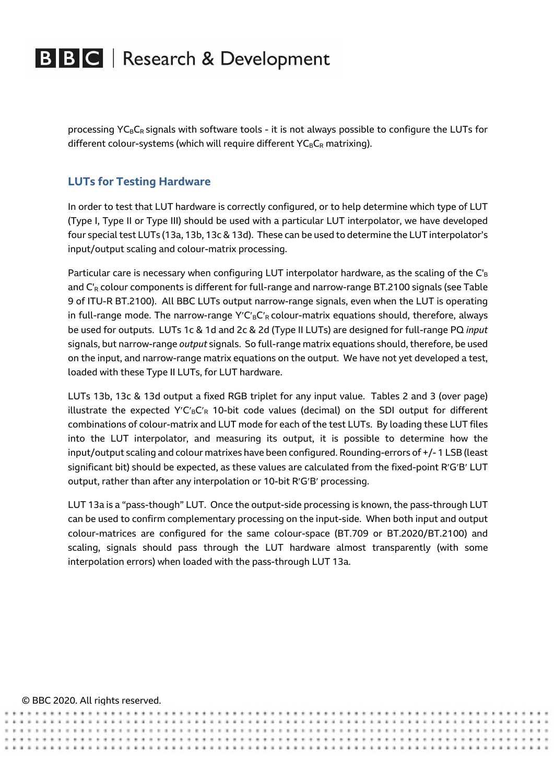processing  $YC_BC_R$  signals with software tools - it is not always possible to configure the LUTs for different colour-systems (which will require different  $YC_BC_R$  matrixing).

## **LUTs for Testing Hardware**

In order to test that LUT hardware is correctly configured, or to help determine which type of LUT (Type I, Type II or Type III) should be used with a particular LUT interpolator, we have developed four special test LUTs (13a, 13b, 13c & 13d). These can be used to determine the LUT interpolator's input/output scaling and colour-matrix processing.

Particular care is necessary when configuring LUT interpolator hardware, as the scaling of the  $C_B$ and C'<sub>R</sub> colour components is different for full-range and narrow-range BT.2100 signals (see Table 9 of ITU-R BT.2100). All BBC LUTs output narrow-range signals, even when the LUT is operating in full-range mode. The narrow-range  $Y'C<sub>B</sub>C<sub>R</sub>$  colour-matrix equations should, therefore, always be used for outputs. LUTs 1c & 1d and 2c & 2d (Type II LUTs) are designed for full-range PQ *input* signals, but narrow-range *output* signals. So full-range matrix equations should, therefore, be used on the input, and narrow-range matrix equations on the output. We have not yet developed a test, loaded with these Type II LUTs, for LUT hardware.

LUTs 13b, 13c & 13d output a fixed RGB triplet for any input value. Tables 2 and 3 (over page) illustrate the expected Y'C'<sub>B</sub>C'<sub>R</sub> 10-bit code values (decimal) on the SDI output for different combinations of colour-matrix and LUT mode for each of the test LUTs. By loading these LUT files into the LUT interpolator, and measuring its output, it is possible to determine how the input/output scaling and colour matrixes have been configured. Rounding-errors of +/- 1 LSB (least significant bit) should be expected, as these values are calculated from the fixed-point R'G'B' LUT output, rather than after any interpolation or 10-bit R'G'B' processing.

LUT 13a is a "pass-though" LUT. Once the output-side processing is known, the pass-through LUT can be used to confirm complementary processing on the input-side. When both input and output colour-matrices are configured for the same colour-space (BT.709 or BT.2020/BT.2100) and scaling, signals should pass through the LUT hardware almost transparently (with some interpolation errors) when loaded with the pass-through LUT 13a.

...................